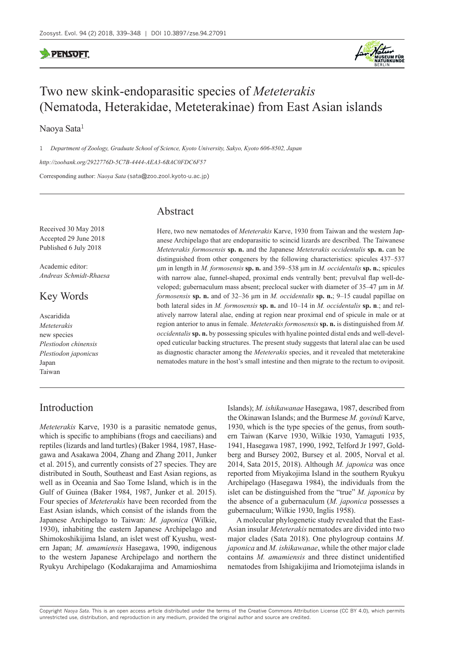

# Two new skink-endoparasitic species of *Meteterakis* (Nematoda, Heterakidae, Meteterakinae) from East Asian islands

Naoya Sata<sup>1</sup>

1 *Department of Zoology, Graduate School of Science, Kyoto University, Sakyo, Kyoto 606-8502, Japan*

*<http://zoobank.org/2922776D-5C7B-4444-AEA3-6BAC0FDC6F57>*

Corresponding author: *Naoya Sata* ([sata@zoo.zool.kyoto-u.ac.jp\)](mailto:sata@zoo.zool.kyoto-u.ac.jp)

# Abstract

Received 30 May 2018 Accepted 29 June 2018 Published 6 July 2018

Academic editor: *Andreas Schmidt-Rhaesa*

# Key Words

Ascaridida *Meteterakis* new species *Plestiodon chinensis Plestiodon japonicus* Japan Taiwan

# Introduction

Here, two new nematodes of *Meteterakis* Karve, 1930 from Taiwan and the western Japanese Archipelago that are endoparasitic to scincid lizards are described. The Taiwanese *Meteterakis formosensis* **sp. n.** and the Japanese *Meteterakis occidentalis* **sp. n.** can be distinguished from other congeners by the following characteristics: spicules 437–537 μm in length in *M. formosensis* **sp. n.** and 359–538 μm in *M. occidentalis* **sp. n.**; spicules with narrow alae, funnel-shaped, proximal ends ventrally bent; prevulval flap well-developed; gubernaculum mass absent; preclocal sucker with diameter of 35–47 μm in *M. formosensis* **sp. n.** and of 32–36 μm in *M. occidentalis* **sp. n.**; 9–15 caudal papillae on both lateral sides in *M. formosensis* **sp. n.** and 10–14 in *M. occidentalis* **sp. n**.; and relatively narrow lateral alae, ending at region near proximal end of spicule in male or at region anterior to anus in female. *Meteterakis formosensis* **sp. n.** is distinguished from *M. occidentalis* **sp. n.** by possessing spicules with hyaline pointed distal ends and well-developed cuticular backing structures. The present study suggests that lateral alae can be used as diagnostic character among the *Meteterakis* species, and it revealed that meteterakine nematodes mature in the host's small intestine and then migrate to the rectum to oviposit.

*Meteterakis* Karve, 1930 is a parasitic nematode genus, which is specific to amphibians (frogs and caecilians) and reptiles (lizards and land turtles) (Baker 1984, 1987, Hasegawa and Asakawa 2004, Zhang and Zhang 2011, Junker et al. 2015), and currently consists of 27 species. They are distributed in South, Southeast and East Asian regions, as well as in Oceania and Sao Tome Island, which is in the Gulf of Guinea (Baker 1984, 1987, Junker et al. 2015). Four species of *Meteterakis* have been recorded from the East Asian islands, which consist of the islands from the Japanese Archipelago to Taiwan: *M. japonica* (Wilkie, 1930), inhabiting the eastern Japanese Archipelago and Shimokoshikijima Island, an islet west off Kyushu, western Japan; *M. amamiensis* Hasegawa, 1990, indigenous to the western Japanese Archipelago and northern the Ryukyu Archipelago (Kodakarajima and Amamioshima

Islands); *M. ishikawanae* Hasegawa, 1987, described from the Okinawan Islands; and the Burmese *M. govindi* Karve, 1930, which is the type species of the genus, from southern Taiwan (Karve 1930, Wilkie 1930, Yamaguti 1935, 1941, Hasegawa 1987, 1990, 1992, Telford Jr 1997, Goldberg and Bursey 2002, Bursey et al. 2005, Norval et al. 2014, Sata 2015, 2018). Although *M. japonica* was once reported from Miyakojima Island in the southern Ryukyu Archipelago (Hasegawa 1984), the individuals from the islet can be distinguished from the "true" *M. japonica* by the absence of a gubernaculum (*M. japonica* possesses a gubernaculum; Wilkie 1930, Inglis 1958).

A molecular phylogenetic study revealed that the East-Asian insular *Meteterakis* nematodes are divided into two major clades (Sata 2018). One phylogroup contains *M. japonica* and *M. ishikawanae*, while the other major clade contains *M. amamiensis* and three distinct unidentified nematodes from Ishigakijima and Iriomotejima islands in

Copyright *Naoya Sata.* This is an open access article distributed under the terms of the [Creative Commons Attribution License \(CC BY 4.0\)](http://creativecommons.org/licenses/by/4.0/), which permits unrestricted use, distribution, and reproduction in any medium, provided the original author and source are credited.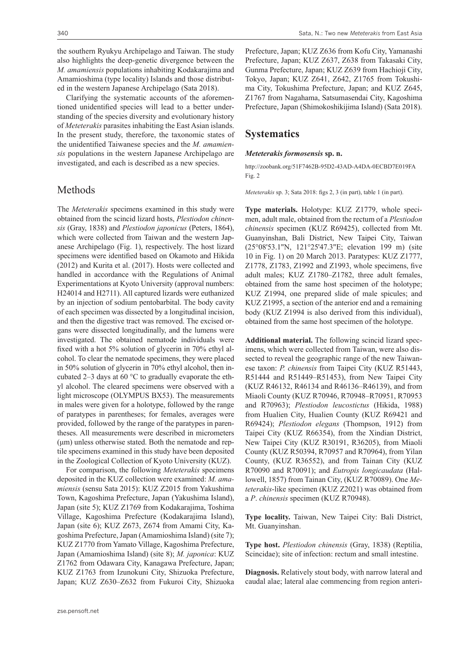the southern Ryukyu Archipelago and Taiwan. The study also highlights the deep-genetic divergence between the *M. amamiensis* populations inhabiting Kodakarajima and Amamioshima (type locality) Islands and those distributed in the western Japanese Archipelago (Sata 2018).

Clarifying the systematic accounts of the aforementioned unidentified species will lead to a better understanding of the species diversity and evolutionary history of *Meteterakis* parasites inhabiting the East Asian islands. In the present study, therefore, the taxonomic states of the unidentified Taiwanese species and the *M. amamiensis* populations in the western Japanese Archipelago are investigated, and each is described as a new species.

### Methods

The *Meteterakis* specimens examined in this study were obtained from the scincid lizard hosts, *Plestiodon chinensis* (Gray, 1838) and *Plestiodon japonicus* (Peters, 1864), which were collected from Taiwan and the western Japanese Archipelago (Fig. 1), respectively. The host lizard specimens were identified based on Okamoto and Hikida (2012) and Kurita et al. (2017). Hosts were collected and handled in accordance with the Regulations of Animal Experimentations at Kyoto University (approval numbers: H24014 and H2711). All captured lizards were euthanized by an injection of sodium pentobarbital. The body cavity of each specimen was dissected by a longitudinal incision, and then the digestive tract was removed. The excised organs were dissected longitudinally, and the lumens were investigated. The obtained nematode individuals were fixed with a hot 5% solution of glycerin in 70% ethyl alcohol. To clear the nematode specimens, they were placed in 50% solution of glycerin in 70% ethyl alcohol, then incubated 2–3 days at 60 °C to gradually evaporate the ethyl alcohol. The cleared specimens were observed with a light microscope (OLYMPUS BX53). The measurements in males were given for a holotype, followed by the range of paratypes in parentheses; for females, averages were provided, followed by the range of the paratypes in parentheses. All measurements were described in micrometers (μm) unless otherwise stated. Both the nematode and reptile specimens examined in this study have been deposited in the Zoological Collection of Kyoto University (KUZ).

For comparison, the following *Meteterakis* specimens deposited in the KUZ collection were examined: *M. amamiensis* (sensu Sata 2015): KUZ Z2015 from Yakushima Town, Kagoshima Prefecture, Japan (Yakushima Island), Japan (site 5); KUZ Z1769 from Kodakarajima, Toshima Village, Kagoshima Prefecture (Kodakarajima Island), Japan (site 6); KUZ Z673, Z674 from Amami City, Kagoshima Prefecture, Japan (Amamioshima Island) (site 7); KUZ Z1770 from Yamato Village, Kagoshima Prefecture, Japan (Amamioshima Island) (site 8); *M. japonica*: KUZ Z1762 from Odawara City, Kanagawa Prefecture, Japan; KUZ Z1763 from Izunokuni City, Shizuoka Prefecture, Japan; KUZ Z630–Z632 from Fukuroi City, Shizuoka Prefecture, Japan; KUZ Z636 from Kofu City, Yamanashi Prefecture, Japan; KUZ Z637, Z638 from Takasaki City, Gunma Prefecture, Japan; KUZ Z639 from Hachioji City, Tokyo, Japan; KUZ Z641, Z642, Z1765 from Tokushima City, Tokushima Prefecture, Japan; and KUZ Z645, Z1767 from Nagahama, Satsumasendai City, Kagoshima Prefecture, Japan (Shimokoshikijima Island) (Sata 2018).

# **Systematics**

#### *Meteterakis formosensis* **sp. n.**

<http://zoobank.org/51F7462B-95D2-43AD-A4DA-0ECBD7E019FA> Fig. 2

*Meteterakis* sp. 3; Sata 2018: figs 2, 3 (in part), table 1 (in part).

**Type materials.** Holotype: KUZ Z1779, whole specimen, adult male, obtained from the rectum of a *Plestiodon chinensis* specimen (KUZ R69425), collected from Mt. Guanyinshan, Bali District, New Taipei City, Taiwan (25°08'53.1"N, 121°25'47.3"E; elevation 199 m) (site 10 in Fig. 1) on 20 March 2013. Paratypes: KUZ Z1777, Z1778, Z1783, Z1992 and Z1993, whole specimens, five adult males; KUZ Z1780–Z1782, three adult females, obtained from the same host specimen of the holotype; KUZ Z1994, one prepared slide of male spicules; and KUZ Z1995, a section of the anterior end and a remaining body (KUZ Z1994 is also derived from this individual), obtained from the same host specimen of the holotype.

**Additional material.** The following scincid lizard specimens, which were collected from Taiwan, were also dissected to reveal the geographic range of the new Taiwanese taxon: *P. chinensis* from Taipei City (KUZ R51443, R51444 and R51449–R51453), from New Taipei City (KUZ R46132, R46134 and R46136–R46139), and from Miaoli County (KUZ R70946, R70948–R70951, R70953 and R70963); *Plestiodon leucostictus* (Hikida, 1988) from Hualien City, Hualien County (KUZ R69421 and R69424); *Plestiodon elegans* (Thompson, 1912) from Taipei City (KUZ R66354), from the Xindian District, New Taipei City (KUZ R30191, R36205), from Miaoli County (KUZ R50394, R70957 and R70964), from Yilan County, (KUZ R36552), and from Tainan City (KUZ R70090 and R70091); and *Eutropis longicaudata* (Hallowell, 1857) from Tainan City, (KUZ R70089). One *Meteterakis*-like specimen (KUZ Z2021) was obtained from a *P*. *chinensis* specimen (KUZ R70948).

**Type locality.** Taiwan, New Taipei City: Bali District, Mt. Guanyinshan.

**Type host.** *Plestiodon chinensis* (Gray, 1838) (Reptilia, Scincidae); site of infection: rectum and small intestine.

**Diagnosis.** Relatively stout body, with narrow lateral and caudal alae; lateral alae commencing from region anteri-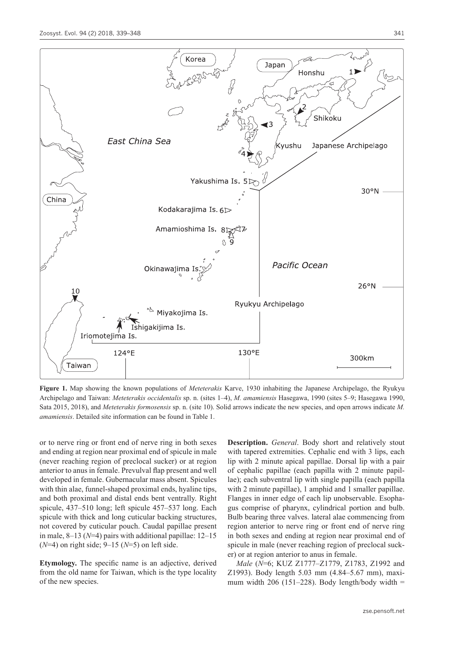

**Figure 1.** Map showing the known populations of *Meteterakis* Karve, 1930 inhabiting the Japanese Archipelago, the Ryukyu Archipelago and Taiwan: *Meteterakis occidentalis* sp. n. (sites 1–4), *M. amamiensis* Hasegawa, 1990 (sites 5–9; Hasegawa 1990, Sata 2015, 2018), and *Meteterakis formosensis* sp. n. (site 10). Solid arrows indicate the new species, and open arrows indicate *M. amamiensis*. Detailed site information can be found in Table 1.

or to nerve ring or front end of nerve ring in both sexes and ending at region near proximal end of spicule in male (never reaching region of preclocal sucker) or at region anterior to anus in female. Prevulval flap present and well developed in female. Gubernacular mass absent. Spicules with thin alae, funnel-shaped proximal ends, hyaline tips, and both proximal and distal ends bent ventrally. Right spicule, 437–510 long; left spicule 457–537 long. Each spicule with thick and long cuticular backing structures, not covered by cuticular pouch. Caudal papillae present in male, 8–13 (*N*=4) pairs with additional papillae: 12–15 (*N*=4) on right side; 9–15 (*N*=5) on left side.

**Etymology.** The specific name is an adjective, derived from the old name for Taiwan, which is the type locality of the new species.

**Description.** *General*. Body short and relatively stout with tapered extremities. Cephalic end with 3 lips, each lip with 2 minute apical papillae. Dorsal lip with a pair of cephalic papillae (each papilla with 2 minute papillae); each subventral lip with single papilla (each papilla with 2 minute papillae), 1 amphid and 1 smaller papillae. Flanges in inner edge of each lip unobservable. Esophagus comprise of pharynx, cylindrical portion and bulb. Bulb bearing three valves. lateral alae commencing from region anterior to nerve ring or front end of nerve ring in both sexes and ending at region near proximal end of spicule in male (never reaching region of preclocal sucker) or at region anterior to anus in female.

*Male* (*N*=6; KUZ Z1777–Z1779, Z1783, Z1992 and Z1993). Body length 5.03 mm (4.84–5.67 mm), maximum width 206 (151–228). Body length/body width  $=$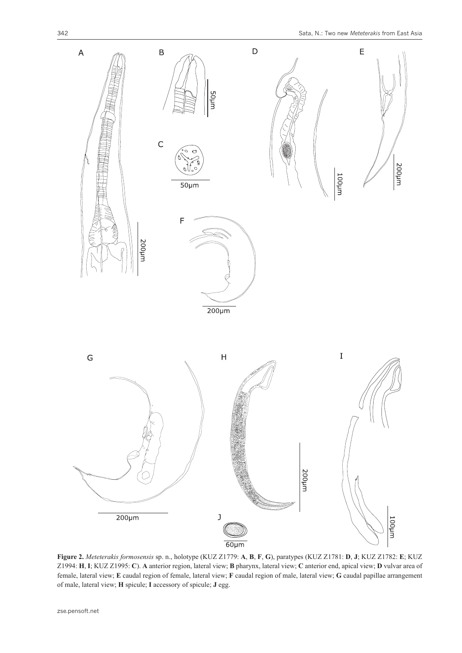

**Figure 2.** *Meteterakis formosensis* sp. n., holotype (KUZ Z1779: **A**, **B**, **F**, **G**), paratypes (KUZ Z1781: **D**, **J**; KUZ Z1782: **E**; KUZ Z1994: **H**, **I**; KUZ Z1995: **C**). **A** anterior region, lateral view; **B** pharynx, lateral view; **C** anterior end, apical view; **D** vulvar area of female, lateral view; **E** caudal region of female, lateral view; **F** caudal region of male, lateral view; **G** caudal papillae arrangement of male, lateral view; **H** spicule; **I** accessory of spicule; **J** egg.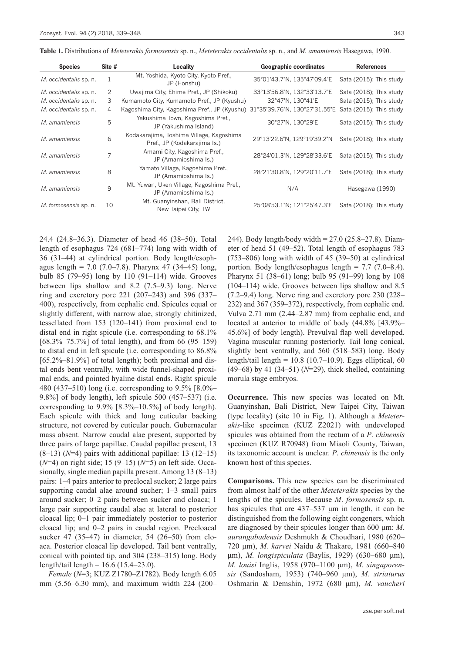| <b>Species</b>         | Site # | Locality                                                                   | <b>Geographic coordinates</b> | <b>References</b>       |
|------------------------|--------|----------------------------------------------------------------------------|-------------------------------|-------------------------|
| M. occidentalis sp. n. | 1      | Mt. Yoshida, Kyoto City, Kyoto Pref.,<br>JP (Honshu)                       | 35°01'43.7"N, 135°47'09.4"E   | Sata (2015); This study |
| M. occidentalis sp. n. | 2      | Uwajima City, Ehime Pref., JP (Shikoku)                                    | 33°13'56.8"N, 132°33'13.7"E   | Sata (2018); This study |
| M. occidentalis sp. n. | 3      | Kumamoto City, Kumamoto Pref., JP (Kyushu)                                 | 32°47'N, 130°41'E             | Sata (2015); This study |
| M. occidentalis sp. n. | 4      | Kagoshima City, Kagoshima Pref., JP (Kyushu) 31°35'39.76"N, 130°27'31.55"E |                               | Sata (2015); This study |
| M. amamiensis          | 5      | Yakushima Town, Kagoshima Pref.,<br>JP (Yakushima Island)                  | 30°27'N, 130°29'E             | Sata (2015); This study |
| M. amamiensis          | 6      | Kodakarajima, Toshima Village, Kagoshima<br>Pref., JP (Kodakarajima Is.)   | 29°13'22.6"N, 129°19'39.2"N   | Sata (2018); This study |
| M. amamiensis          |        | Amami City, Kagoshima Pref.,<br>JP (Amamioshima Is.)                       | 28°24'01.3"N, 129°28'33.6"E   | Sata (2015); This study |
| M. amamiensis          | 8      | Yamato Village, Kagoshima Pref.,<br>JP (Amamioshima Is.)                   | 28°21'30.8"N, 129°20'11.7"E   | Sata (2018); This study |
| M. amamiensis          | 9      | Mt. Yuwan, Uken Village, Kagoshima Pref.,<br>JP (Amamioshima Is.)          | N/A                           | Hasegawa (1990)         |
| M. formosensis sp. n.  | 10     | Mt. Guanyinshan, Bali District,<br>New Taipei City, TW                     | 25°08'53.1"N; 121°25'47.3"E   | Sata (2018); This study |

**Table 1.** Distributions of *Meteterakis formosensis* sp. n., *Meteterakis occidentalis* sp. n., and *M. amamiensis* Hasegawa, 1990.

24.4 (24.8–36.3). Diameter of head 46 (38–50). Total length of esophagus 724 (681–774) long with width of 36 (31–44) at cylindrical portion. Body length/esophagus length = 7.0 (7.0–7.8). Pharynx 47 (34–45) long, bulb 85 (79–95) long by 110 (91–114) wide. Grooves between lips shallow and 8.2 (7.5–9.3) long. Nerve ring and excretory pore  $221$  (207–243) and 396 (337– 400), respectively, from cephalic end. Spicules equal or slightly different, with narrow alae, strongly chitinized, tessellated from 153 (120–141) from proximal end to distal end in right spicule (i.e. corresponding to 68.1% [68.3%–75.7%] of total length), and from 66 (95–159) to distal end in left spicule (i.e. corresponding to 86.8% [65.2%–81.9%] of total length); both proximal and distal ends bent ventrally, with wide funnel-shaped proximal ends, and pointed hyaline distal ends. Right spicule 480 (437–510) long (i.e. corresponding to 9.5% [8.0%– 9.8%] of body length), left spicule 500 (457–537) (i.e. corresponding to  $9.9\%$  [8.3%–10.5%] of body length). Each spicule with thick and long cuticular backing structure, not covered by cuticular pouch. Gubernacular mass absent. Narrow caudal alae present, supported by three pairs of large papillae. Caudal papillae present, 13  $(8-13)$   $(N=4)$  pairs with additional papillae: 13  $(12-15)$ (*N*=4) on right side; 15 (9–15) (*N*=5) on left side. Occasionally, single median papilla present. Among 13 (8–13) pairs: 1–4 pairs anterior to preclocal sucker; 2 large pairs supporting caudal alae around sucher; 1–3 small pairs around sucker; 0–2 pairs between sucker and cloaca; 1 large pair supporting caudal alae at lateral to posterior cloacal lip; 0–1 pair immediately posterior to posterior cloacal lip; and 0–2 pairs in caudal region. Precloacal sucker 47 (35–47) in diameter, 54 (26–50) from cloaca. Posterior cloacal lip developed. Tail bent ventrally, conical with pointed tip, and 304 (238–315) long. Body length/tail length =  $16.6$  (15.4–23.0).

*Female* (*N*=3; KUZ Z1780–Z1782). Body length 6.05 mm (5.56–6.30 mm), and maximum width 224 (200– 244). Body length/body width = 27.0 (25.8–27.8). Diameter of head 51 (49–52). Total length of esophagus 783 (753–806) long with width of 45 (39–50) at cylindrical portion. Body length/esophagus length = 7.7 (7.0–8.4). Pharynx 51 (38–61) long; bulb 95 (91–99) long by 108 (104–114) wide. Grooves between lips shallow and 8.5 (7.2–9.4) long. Nerve ring and excretory pore 230 (228– 232) and 367 (359–372), respectively, from cephalic end. Vulva 2.71 mm (2.44–2.87 mm) from cephalic end, and located at anterior to middle of body (44.8% [43.9%– 45.6%] of body length). Prevulval flap well developed. Vagina muscular running posteriorly. Tail long conical, slightly bent ventrally, and 560 (518–583) long. Body length/tail length =  $10.8$  (10.7-10.9). Eggs elliptical, 60 (49–68) by 41 (34–51) (*N*=29), thick shelled, containing morula stage embryos.

**Occurrence.** This new species was located on Mt. Guanyinshan, Bali District, New Taipei City, Taiwan (type locality) (site 10 in Fig. 1). Although a *Meteterakis*-like specimen (KUZ Z2021) with undeveloped spicules was obtained from the rectum of a *P*. *chinensis*  specimen (KUZ R70948) from Miaoli County, Taiwan, its taxonomic account is unclear. *P*. *chinensis* is the only known host of this species.

**Comparisons.** This new species can be discriminated from almost half of the other *Meteterakis* species by the lengths of the spicules. Because *M*. *formosensis* sp. n. has spicules that are 437–537 μm in length, it can be distinguished from the following eight congeners, which are diagnosed by their spicules longer than 600 μm: *M. aurangabadensis* Deshmukh & Choudhari, 1980 (620– 720 μm), *M. karvei* Naidu & Thakare, 1981 (660–840 μm), *M. longispiculata* (Baylis, 1929) (630–680 μm), *M. louisi* Inglis, 1958 (970–1100 μm), *M. singaporensis* (Sandosham, 1953) (740–960 μm), *M. striaturus*  Oshmarin & Demshin, 1972 (680 μm), *M. vaucheri*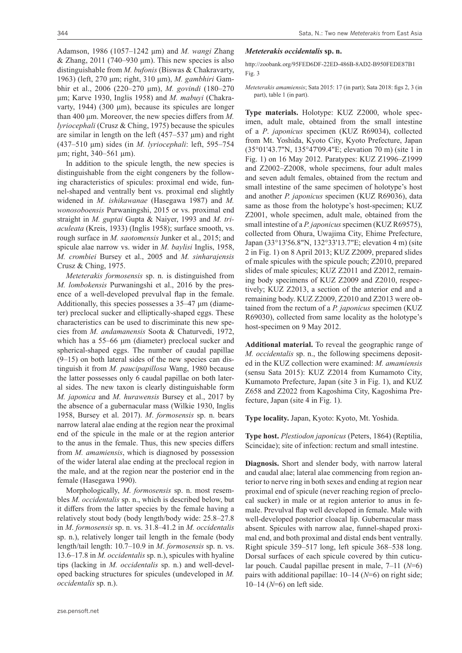Adamson, 1986 (1057–1242 μm) and *M. wangi* Zhang & Zhang, 2011 (740–930 μm). This new species is also distinguishable from *M. bufonis* (Biswas & Chakravarty, 1963) (left, 270 μm; right, 310 μm), *M. gambhiri* Gambhir et al., 2006 (220–270 μm), *M. govindi* (180–270 μm; Karve 1930, Inglis 1958) and *M. mabuyi* (Chakravarty, 1944) (300 μm), because its spicules are longer than 400 μm. Moreover, the new species differs from *M. lyriocephali* (Crusz & Ching, 1975) because the spicules are similar in length on the left (457–537 μm) and right (437–510 μm) sides (in *M. lyriocephali*: left, 595–754 μm; right, 340–561 μm).

In addition to the spicule length, the new species is distinguishable from the eight congeners by the following characteristics of spicules: proximal end wide, funnel-shaped and ventrally bent vs. proximal end slightly widened in *M. ishikawanae* (Hasegawa 1987) and *M. wonosoboensis* Purwaningshi, 2015 or vs. proximal end straight in *M. guptai* Gupta & Naiyer, 1993 and *M. triaculeata* (Kreis, 1933) (Inglis 1958); surface smooth, vs. rough surface in *M. saotomensis* Junker et al., 2015; and spicule alae narrow vs. wider in *M. baylisi* Inglis, 1958, *M. crombiei* Bursey et al., 2005 and *M. sinharajensis* Crusz & Ching, 1975.

*Meteterakis formosensis* sp. n. is distinguished from *M. lombokensis* Purwaningshi et al., 2016 by the presence of a well-developed prevulval flap in the female. Additionally, this species possesses a 35–47 μm (diameter) preclocal sucker and elliptically-shaped eggs. These characteristics can be used to discriminate this new species from *M. andamanensis* Soota & Chaturvedi, 1972, which has a 55–66 μm (diameter) preclocal sucker and spherical-shaped eggs. The number of caudal papillae  $(9-15)$  on both lateral sides of the new species can distinguish it from *M. paucipapillosa* Wang, 1980 because the latter possesses only 6 caudal papillae on both lateral sides. The new taxon is clearly distinguishable form *M. japonica* and *M. hurawensis* Bursey et al., 2017 by the absence of a gubernacular mass (Wilkie 1930, Inglis 1958, Bursey et al. 2017). *M*. *formosensis* sp. n. bears narrow lateral alae ending at the region near the proximal end of the spicule in the male or at the region anterior to the anus in the female. Thus, this new species differs from *M. amamiensis*, which is diagnosed by possession of the wider lateral alae ending at the preclocal region in the male, and at the region near the posterior end in the female (Hasegawa 1990).

Morphologically, *M*. *formosensis* sp. n. most resembles *M. occidentalis* sp. n., which is described below, but it differs from the latter species by the female having a relatively stout body (body length/body wide: 25.8–27.8 in *M*. *formosensis* sp. n. vs. 31.8–41.2 in *M. occidentalis*  sp. n.), relatively longer tail length in the female (body length/tail length: 10.7–10.9 in *M*. *formosensis* sp. n. vs. 13.6–17.8 in *M. occidentalis* sp. n.), spicules with hyaline tips (lacking in *M. occidentalis* sp. n.) and well-developed backing structures for spicules (undeveloped in *M. occidentalis* sp. n.).

#### *Meteterakis occidentalis* **sp. n.**

<http://zoobank.org/95FED6DF-22ED-486B-8AD2-B950FEDE87B1> Fig. 3

*Meteterakis amamiensis*; Sata 2015: 17 (in part); Sata 2018: figs 2, 3 (in part), table 1 (in part).

**Type materials.** Holotype: KUZ Z2000, whole specimen, adult male, obtained from the small intestine of a *P*. *japonicus* specimen (KUZ R69034), collected from Mt. Yoshida, Kyoto City, Kyoto Prefecture, Japan (35°01'43.7"N, 135°47'09.4"E; elevation 70 m) (site 1 in Fig. 1) on 16 May 2012. Paratypes: KUZ Z1996–Z1999 and Z2002–Z2008, whole specimens, four adult males and seven adult females, obtained from the rectum and small intestine of the same specimen of holotype's host and another *P. japonicus* specimen (KUZ R69036), data same as those from the holotype's host-specimen; KUZ Z2001, whole specimen, adult male, obtained from the small intestine of a *P. japonicus* specimen (KUZ R69575), collected from Ohura, Uwajima City, Ehime Prefecture, Japan (33°13'56.8"N, 132°33'13.7"E; elevation 4 m) (site 2 in Fig. 1) on 8 April 2013; KUZ Z2009, prepared slides of male spicules with the spicule pouch; Z2010, prepared slides of male spicules; KUZ Z2011 and Z2012, remaining body specimens of KUZ Z2009 and Z2010, respectively; KUZ Z2013, a section of the anterior end and a remaining body. KUZ Z2009, Z2010 and Z2013 were obtained from the rectum of a *P. japonicus* specimen (KUZ R69030), collected from same locality as the holotype's host-specimen on 9 May 2012.

**Additional material.** To reveal the geographic range of *M. occidentalis* sp. n., the following specimens deposited in the KUZ collection were examined: *M. amamiensis*  (sensu Sata 2015): KUZ Z2014 from Kumamoto City, Kumamoto Prefecture, Japan (site 3 in Fig. 1), and KUZ Z658 and Z2022 from Kagoshima City, Kagoshima Prefecture, Japan (site 4 in Fig. 1).

**Type locality.** Japan, Kyoto: Kyoto, Mt. Yoshida.

**Type host.** *Plestiodon japonicus* (Peters, 1864) (Reptilia, Scincidae); site of infection: rectum and small intestine.

**Diagnosis.** Short and slender body, with narrow lateral and caudal alae; lateral alae commencing from region anterior to nerve ring in both sexes and ending at region near proximal end of spicule (never reaching region of preclocal sucker) in male or at region anterior to anus in female. Prevulval flap well developed in female. Male with well-developed posterior cloacal lip. Gubernacular mass absent. Spicules with narrow alae, funnel-shaped proximal end, and both proximal and distal ends bent ventrally. Right spicule 359–517 long, left spicule 368–538 long. Dorsal surfaces of each spicule covered by thin cuticular pouch. Caudal papillae present in male, 7–11 (*N*=6) pairs with additional papillae: 10–14 (*N*=6) on right side; 10–14 (*N*=6) on left side.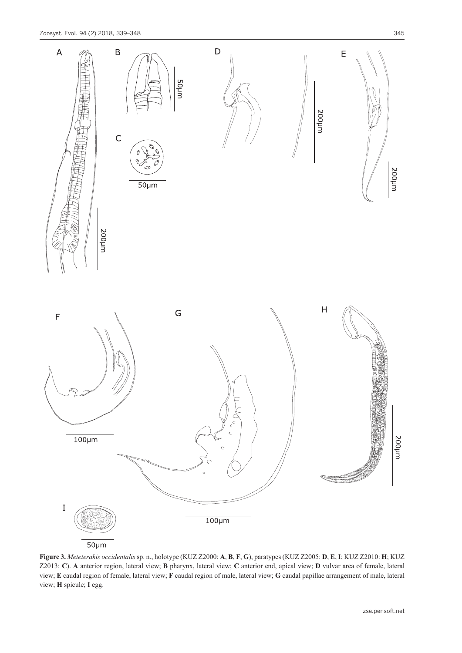

 $50 \mu m$ 

**Figure 3.** *Meteterakis occidentalis* sp. n., holotype (KUZ Z2000: **A**, **B**, **F**, **G**), paratypes (KUZ Z2005: **D**, **E**, **I**; KUZ Z2010: **H**; KUZ Z2013: **C**). **A** anterior region, lateral view; **B** pharynx, lateral view; **C** anterior end, apical view; **D** vulvar area of female, lateral view; **E** caudal region of female, lateral view; **F** caudal region of male, lateral view; **G** caudal papillae arrangement of male, lateral view; **H** spicule; **I** egg.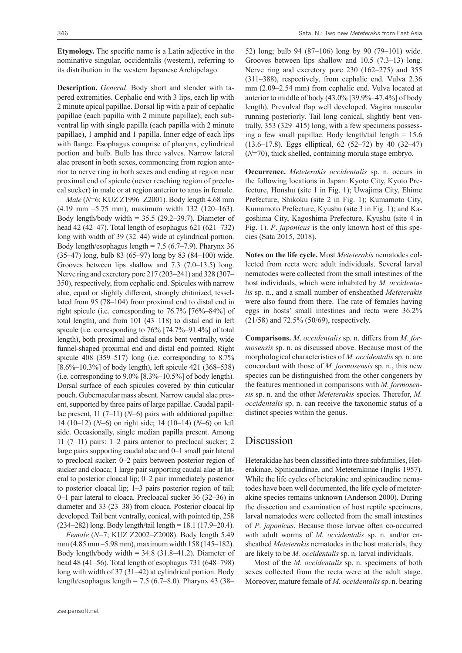**Etymology.** The specific name is a Latin adjective in the nominative singular, occidentalis (western), referring to its distribution in the western Japanese Archipelago.

**Description.** *General*. Body short and slender with tapered extremities. Cephalic end with 3 lips, each lip with 2 minute apical papillae. Dorsal lip with a pair of cephalic papillae (each papilla with 2 minute papillae); each subventral lip with single papilla (each papilla with 2 minute papillae), 1 amphid and 1 papilla. Inner edge of each lips with flange. Esophagus comprise of pharynx, cylindrical portion and bulb. Bulb has three valves. Narrow lateral alae present in both sexes, commencing from region anterior to nerve ring in both sexes and ending at region near proximal end of spicule (never reaching region of preclocal sucker) in male or at region anterior to anus in female.

*Male* (*N*=6; KUZ Z1996–Z2001). Body length 4.68 mm (4.19 mm –5.75 mm), maximum width 132 (120–163). Body length/body width =  $35.5$  (29.2–39.7). Diameter of head 42 (42–47). Total length of esophagus 621 (621–732) long with width of 39 (32–44) wide at cylindrical portion. Body length/esophagus length =  $7.5$  (6.7–7.9). Pharynx 36 (35–47) long, bulb 83 (65–97) long by 83 (84–100) wide. Grooves between lips shallow and 7.3 (7.0–13.5) long. Nerve ring and excretory pore 217 (203–241) and 328 (307– 350), respectively, from cephalic end. Spicules with narrow alae, equal or slightly different, strongly chitinized, tessellated from 95 (78–104) from proximal end to distal end in right spicule (i.e. corresponding to 76.7% [76%–84%] of total length), and from 101 (43–118) to distal end in left spicule (i.e. corresponding to 76% [74.7%–91.4%] of total length), both proximal and distal ends bent ventrally, wide funnel-shaped proximal end and distal end pointed. Right spicule 408 (359–517) long (i.e. corresponding to 8.7% [8.6%–10.3%] of body length), left spicule 421 (368–538) (i.e. corresponding to  $9.0\%$  [8.3%–10.5%] of body length). Dorsal surface of each spicules covered by thin cuticular pouch. Gubernacular mass absent. Narrow caudal alae present, supported by three pairs of large papillae. Caudal papillae present, 11 (7–11) ( $N=6$ ) pairs with additional papillae: 14 (10–12) (*N*=6) on right side; 14 (10–14) (*N*=6) on left side. Occasionally, single median papilla present. Among 11 (7–11) pairs: 1–2 pairs anterior to preclocal sucker; 2 large pairs supporting caudal alae and 0–1 small pair lateral to preclocal sucker; 0–2 pairs between posterior region of sucker and cloaca; 1 large pair supporting caudal alae at lateral to posterior cloacal lip; 0–2 pair immediately posterior to posterior cloacal lip; 1–3 pairs posterior region of tail; 0–1 pair lateral to cloaca. Precloacal sucker 36 (32–36) in diameter and 33 (23–38) from cloaca. Posterior cloacal lip developed. Tail bent ventrally, conical, with pointed tip, 258 (234–282) long. Body length/tail length = 18.1 (17.9–20.4).

*Female* (*N*=7; KUZ Z2002–Z2008). Body length 5.49 mm (4.85 mm –5.98 mm), maximum width 158 (145–182). Body length/body width  $= 34.8$  (31.8–41.2). Diameter of head 48 (41–56). Total length of esophagus 731 (648–798) long with width of 37 (31–42) at cylindrical portion. Body length/esophagus length = 7.5 (6.7–8.0). Pharynx 43 (38–

52) long; bulb 94 (87–106) long by 90 (79–101) wide. Grooves between lips shallow and 10.5 (7.3–13) long. Nerve ring and excretory pore 230 (162–275) and 355 (311–388), respectively, from cephalic end. Vulva 2.36 mm (2.09–2.54 mm) from cephalic end. Vulva located at anterior to middle of body (43.0% [39.9%–47.4%] of body length). Prevulval flap well developed. Vagina muscular running posteriorly. Tail long conical, slightly bent ventrally, 353 (329–415) long, with a few specimens possessing a few small papillae. Body length/tail length  $= 15.6$ (13.6–17.8). Eggs elliptical, 62 (52–72) by 40 (32–47) (*N*=70), thick shelled, containing morula stage embryo.

**Occurrence.** *Meteterakis occidentalis* sp. n. occurs in the following locations in Japan: Kyoto City, Kyoto Prefecture, Honshu (site 1 in Fig. 1); Uwajima City, Ehime Prefecture, Shikoku (site 2 in Fig. 1); Kumamoto City, Kumamoto Prefecture, Kyushu (site 3 in Fig. 1); and Kagoshima City, Kagoshima Prefecture, Kyushu (site 4 in Fig. 1). *P*. *japonicus* is the only known host of this species (Sata 2015, 2018).

**Notes on the life cycle.** Most *Meteterakis* nematodes collected from recta were adult individuals. Several larval nematodes were collected from the small intestines of the host individuals, which were inhabited by *M. occidentalis* sp. n., and a small number of ensheathed *Meteterakis*  were also found from there. The rate of females having eggs in hosts' small intestines and recta were 36.2% (21/58) and 72.5% (50/69), respectively.

**Comparisons.** *M*. *occidentalis* sp. n. differs from *M*. *formosensis* sp. n. as discussed above. Because most of the morphological characteristics of *M. occidentalis* sp. n. are concordant with those of *M. formosensis* sp. n., this new species can be distinguished from the other congeners by the features mentioned in comparisons with *M. formosensis* sp. n. and the other *Meteterakis* species. Therefor, *M. occidentalis* sp. n. can receive the taxonomic status of a distinct species within the genus.

# Discussion

Heterakidae has been classified into three subfamilies, Heterakinae, Spinicaudinae, and Meteterakinae (Inglis 1957). While the life cycles of heterakine and spinicaudine nematodes have been well documented, the life cycle of meteterakine species remains unknown (Anderson 2000). During the dissection and examination of host reptile specimens, larval nematodes were collected from the small intestines of *P*. *japonicus*. Because those larvae often co-occurred with adult worms of *M. occidentalis* sp. n. and/or ensheathed *Meteterakis* nematodes in the host materials, they are likely to be *M. occidentalis* sp. n. larval individuals.

Most of the *M. occidentalis* sp. n. specimens of both sexes collected from the recta were at the adult stage. Moreover, mature female of *M. occidentalis* sp. n. bearing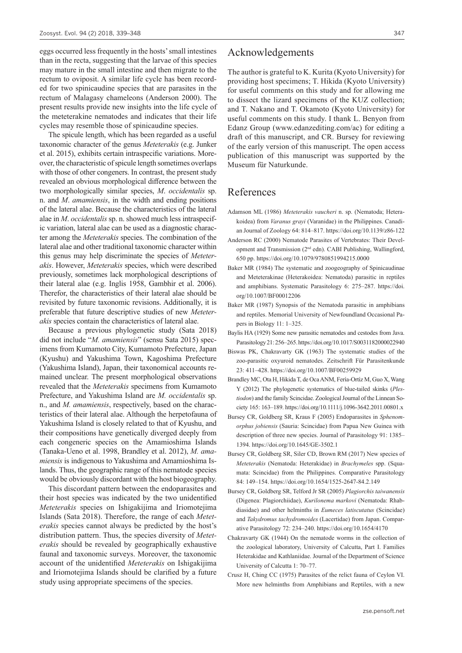eggs occurred less frequently in the hosts' small intestines than in the recta, suggesting that the larvae of this species may mature in the small intestine and then migrate to the rectum to oviposit. A similar life cycle has been recorded for two spinicaudine species that are parasites in the rectum of Malagasy chameleons (Anderson 2000). The present results provide new insights into the life cycle of the meteterakine nematodes and indicates that their life cycles may resemble those of spinicaudine species.

The spicule length, which has been regarded as a useful taxonomic character of the genus *Meteterakis* (e.g. Junker et al. 2015), exhibits certain intraspecific variations. Moreover, the characteristic of spicule length sometimes overlaps with those of other congeners. In contrast, the present study revealed an obvious morphological difference between the two morphologically similar species, *M*. *occidentalis* sp. n. and *M*. *amamiensis*, in the width and ending positions of the lateral alae. Because the characteristics of the lateral alae in *M*. *occidentalis* sp. n. showed much less intraspecific variation, lateral alae can be used as a diagnostic character among the *Meteterakis* species. The combination of the lateral alae and other traditional taxonomic character within this genus may help discriminate the species of *Meteterakis*. However, *Meteterakis* species, which were described previously, sometimes lack morphological descriptions of their lateral alae (e.g. Inglis 1958, Gambhir et al. 2006). Therefor, the characteristics of their lateral alae should be revisited by future taxonomic revisions. Additionally, it is preferable that future descriptive studies of new *Meteterakis* species contain the characteristics of lateral alae.

Because a previous phylogenetic study (Sata 2018) did not include "*M. amamiensis*" (sensu Sata 2015) specimens from Kumamoto City, Kumamoto Prefecture, Japan (Kyushu) and Yakushima Town, Kagoshima Prefecture (Yakushima Island), Japan, their taxonomical accounts remained unclear. The present morphological observations revealed that the *Meteterakis* specimens from Kumamoto Prefecture, and Yakushima Island are *M. occidentalis* sp. n., and *M. amamiensis*, respectively, based on the characteristics of their lateral alae. Although the herpetofauna of Yakushima Island is closely related to that of Kyushu, and their compositions have genetically diverged deeply from each congeneric species on the Amamioshima Islands (Tanaka-Ueno et al. 1998, Brandley et al. 2012), *M. amamiensis* is indigenous to Yakushima and Amamioshima Islands. Thus, the geographic range of this nematode species would be obviously discordant with the host biogeography.

This discordant pattern between the endoparasites and their host species was indicated by the two unidentified *Meteterakis* species on Ishigakijima and Iriomotejima Islands (Sata 2018). Therefore, the range of each *Meteterakis* species cannot always be predicted by the host's distribution pattern. Thus, the species diversity of *Meteterakis* should be revealed by geographically exhaustive faunal and taxonomic surveys. Moreover, the taxonomic account of the unidentified *Meteterakis* on Ishigakijima and Iriomotejima Islands should be clarified by a future study using appropriate specimens of the species.

### Acknowledgements

The author is grateful to K. Kurita (Kyoto University) for providing host specimens; T. Hikida (Kyoto University) for useful comments on this study and for allowing me to dissect the lizard specimens of the KUZ collection; and T. Nakano and T. Okamoto (Kyoto University) for useful comments on this study. I thank L. Benyon from Edanz Group ([www.edanzediting.com/ac](http://www.edanzediting.com/ac)) for editing a draft of this manuscript, and CR. Bursey for reviewing of the early version of this manuscript. The open access publication of this manuscript was supported by the Museum für Naturkunde.

### References

- Adamson ML (1986) *Meteterakis vaucheri* n. sp. (Nematoda; Heterakoidea) from *Varanus grayi* (Varanidae) in the Philippines. Canadian Journal of Zoology 64: 814–817.<https://doi.org/10.1139/z86-122>
- Anderson RC (2000) Nematode Parasites of Vertebrates: Their Development and Transmission (2nd edn). CABI Publishing, Wallingford, 650 pp. <https://doi.org/10.1079/9780851994215.0000>
- Baker MR (1984) The systematic and zoogeography of Spinicaudinae and Meteterakinae (Heterakoidea: Nematoda) parasitic in reptiles and amphibians. Systematic Parasitology 6: 275–287. [https://doi.](https://doi.org/10.1007/BF00012206) [org/10.1007/BF00012206](https://doi.org/10.1007/BF00012206)
- Baker MR (1987) Synopsis of the Nematoda parasitic in amphibians and reptiles. Memorial University of Newfoundland Occasional Papers in Biology 11: 1–325.
- Baylis HA (1929) Some new parasitic nematodes and cestodes from Java. Parasitology 21: 256–265.<https://doi.org/10.1017/S0031182000022940>
- Biswas PK, Chakravarty GK (1963) The systematic studies of the zoo-parasitic oxyuroid nematodes. Zeitschrift Für Parasitenkunde 23: 411–428. <https://doi.org/10.1007/BF00259929>
- Brandley MC, Ota H, Hikida T, de Oca ANM, Fería-Ortíz M, Guo X, Wang Y (2012) The phylogenetic systematics of blue-tailed skinks (*Plestiodon*) and the family Scincidae. Zoological Journal of the Linnean Society 165: 163–189. <https://doi.org/10.1111/j.1096-3642.2011.00801.x>
- Bursey CR, Goldberg SR, Kraus F (2005) Endoparasites in *Sphenomorphus jobiensis* (Sauria: Scincidae) from Papua New Guinea with description of three new species. Journal of Parasitology 91: 1385– 1394. <https://doi.org/10.1645/GE-3502.1>
- Bursey CR, Goldberg SR, Siler CD, Brown RM (2017) New species of *Meteterakis* (Nematoda: Heterakidae) in *Brachymeles* spp. (Squamata: Scincidae) from the Philippines. Comparative Parasitology 84: 149–154. <https://doi.org/10.1654/1525-2647-84.2.149>
- Bursey CR, Goldberg SR, Telford Jr SR (2005) *Plagiorchis taiwanensis*  (Digenea: Plagiorchiidae), *Kurilonema markovi* (Nematoda: Rhabdiasidae) and other helminths in *Eumeces latiscutatus* (Scincidae) and *Takydromus tachydromoides* (Lacertidae) from Japan. Comparative Parasitology 72: 234–240.<https://doi.org/10.1654/4170>
- Chakravarty GK (1944) On the nematode worms in the collection of the zoological laboratory, University of Calcutta, Part I. Families Heterakidae and Kathlaniidae. Journal of the Department of Science University of Calcutta 1: 70–77.
- Crusz H, Ching CC (1975) Parasites of the relict fauna of Ceylon VI. More new helminths from Amphibians and Reptiles, with a new